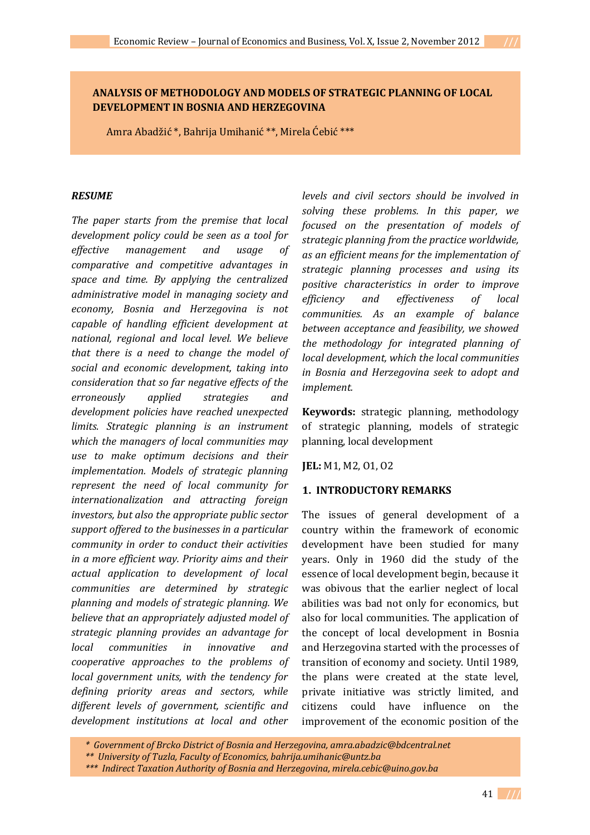## **ANALYSIS OF METHODOLOGY AND MODELS OF STRATEGIC PLANNING OF LOCAL DEVELOPMENT IN BOSNIA AND HERZEGOVINA**

Amra Abadžić \*, Bahrija Umihanić \*\*, Mirela Ćebić \*\*\*

#### *RESUME*

*The paper starts from the premise that local development policy could be seen as a tool for effective management and usage of comparative and competitive advantages in space and time. By applying the centralized administrative model in managing society and economy, Bosnia and Herzegovina is not capable of handling efficient development at national, regional and local level. We believe that there is a need to change the model of social and economic development, taking into consideration that so far negative effects of the erroneously applied strategies and development policies have reached unexpected limits. Strategic planning is an instrument which the managers of local communities may use to make optimum decisions and their implementation. Models of strategic planning represent the need of local community for internationalization and attracting foreign investors, but also the appropriate public sector support offered to the businesses in a particular community in order to conduct their activities in a more efficient way. Priority aims and their actual application to development of local communities are determined by strategic planning and models of strategic planning. We believe that an appropriately adjusted model of strategic planning provides an advantage for local communities in innovative and cooperative approaches to the problems of local government units, with the tendency for defining priority areas and sectors, while different levels of government, scientific and development institutions at local and other* 

*levels and civil sectors should be involved in solving these problems. In this paper, we focused on the presentation of models of strategic planning from the practice worldwide, as an efficient means for the implementation of strategic planning processes and using its positive characteristics in order to improve efficiency and effectiveness of local communities. As an example of balance between acceptance and feasibility, we showed the methodology for integrated planning of local development, which the local communities in Bosnia and Herzegovina seek to adopt and implement.*

**Keywords:** strategic planning, methodology of strategic planning, models of strategic planning, local development

**JEL:** M1, M2, O1, O2

### **1. INTRODUCTORY REMARKS**

The issues of general development of a country within the framework of economic development have been studied for many years. Only in 1960 did the study of the essence of local development begin, because it was obivous that the earlier neglect of local abilities was bad not only for economics, but also for local communities. The application of the concept of local development in Bosnia and Herzegovina started with the processes of transition of economy and society. Until 1989, the plans were created at the state level, private initiative was strictly limited, and citizens could have influence on the improvement of the economic position of the

*<sup>\*</sup> Government of Brcko District of Bosnia and Herzegovina, amra.abadzic@bdcentral.net*

*<sup>\*\*</sup> University of Tuzla, Faculty of Economics, bahrija.umihanic@untz.ba*

*<sup>\*\*\*</sup> Indirect Taxation Authority of Bosnia and Herzegovina, mirela.cebic@uino.gov.ba*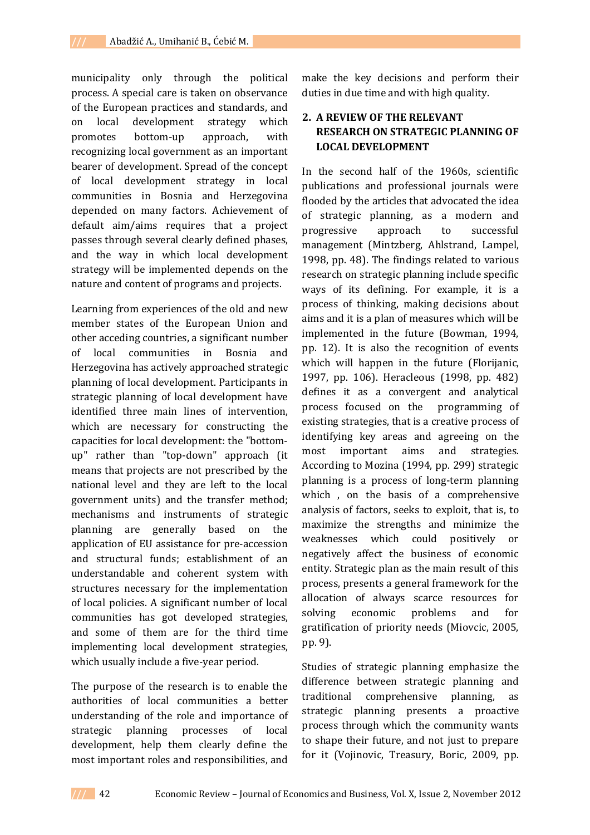municipality only through the political process. A special care is taken on observance of the European practices and standards, and on local development strategy which promotes bottom-up approach, with recognizing local government as an important bearer of development. Spread of the concept of local development strategy in local communities in Bosnia and Herzegovina depended on many factors. Achievement of default aim/aims requires that a project passes through several clearly defined phases, and the way in which local development strategy will be implemented depends on the nature and content of programs and projects.

Learning from experiences of the old and new member states of the European Union and other acceding countries, a significant number of local communities in Bosnia and Herzegovina has actively approached strategic planning of local development. Participants in strategic planning of local development have identified three main lines of intervention, which are necessary for constructing the capacities for local development: the "bottomup" rather than "top-down" approach (it means that projects are not prescribed by the national level and they are left to the local government units) and the transfer method; mechanisms and instruments of strategic planning are generally based on the application of EU assistance for pre-accession and structural funds; establishment of an understandable and coherent system with structures necessary for the implementation of local policies. A significant number of local communities has got developed strategies, and some of them are for the third time implementing local development strategies, which usually include a five-year period.

The purpose of the research is to enable the authorities of local communities a better understanding of the role and importance of strategic planning processes of local development, help them clearly define the most important roles and responsibilities, and

make the key decisions and perform their duties in due time and with high quality.

## **2. A REVIEW OF THE RELEVANT RESEARCH ON STRATEGIC PLANNING OF LOCAL DEVELOPMENT**

In the second half of the 1960s, scientific publications and professional journals were flooded by the articles that advocated the idea of strategic planning, as a modern and progressive approach to successful management (Mintzberg, Ahlstrand, Lampel, 1998, pp. 48). The findings related to various research on strategic planning include specific ways of its defining. For example, it is a process of thinking, making decisions about aims and it is a plan of measures which will be implemented in the future (Bowman, 1994, pp. 12). It is also the recognition of events which will happen in the future (Florijanic, 1997, pp. 106). Heracleous (1998, pp. 482) defines it as a convergent and analytical process focused on the programming of existing strategies, that is a creative process of identifying key areas and agreeing on the most important aims and strategies. According to Mozina (1994, pp. 299) strategic planning is a process of long-term planning which , on the basis of a comprehensive analysis of factors, seeks to exploit, that is, to maximize the strengths and minimize the weaknesses which could positively or negatively affect the business of economic entity. Strategic plan as the main result of this process, presents a general framework for the allocation of always scarce resources for solving economic problems and for gratification of priority needs (Miovcic, 2005, pp. 9).

Studies of strategic planning emphasize the difference between strategic planning and traditional comprehensive planning, as strategic planning presents a proactive process through which the community wants to shape their future, and not just to prepare for it (Vojinovic, Treasury, Boric, 2009, pp.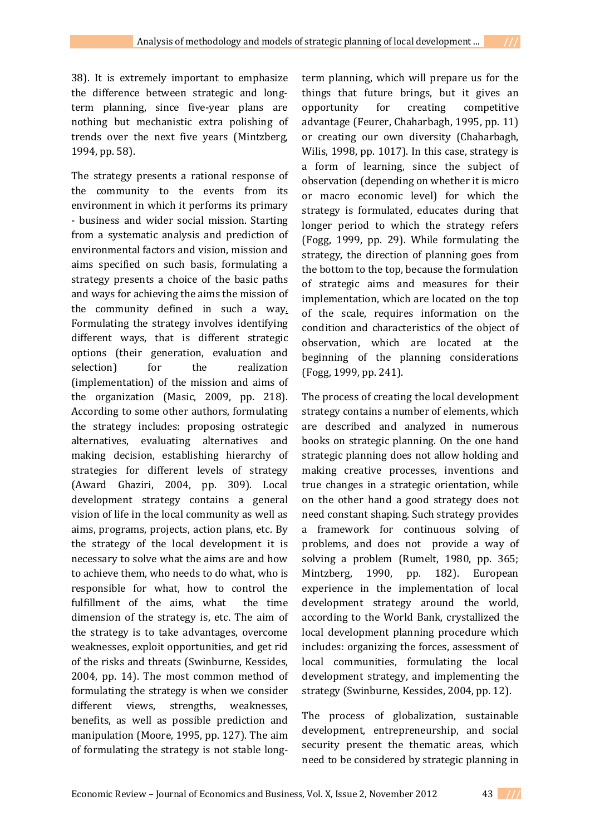38). It is extremely important to emphasize the difference between strategic and longterm planning, since five-year plans are nothing but mechanistic extra polishing of trends over the next five years (Mintzberg, 1994, pp. 58).

The strategy presents a rational response of the community to the events from its environment in which it performs its primary - business and wider social mission. Starting from a systematic analysis and prediction of environmental factors and vision, mission and aims specified on such basis, formulating a strategy presents a choice of the basic paths and ways for achieving the aims the mission of the community defined in such a way. Formulating the strategy involves identifying different ways, that is different strategic options (their generation, evaluation and selection) for the realization (implementation) of the mission and aims of the organization (Masic, 2009, pp. 218). According to some other authors, formulating the strategy includes: proposing ostrategic alternatives, evaluating alternatives and making decision, establishing hierarchy of strategies for different levels of strategy (Award Ghaziri, 2004, pp. 309). Local development strategy contains a general vision of life in the local community as well as aims, programs, projects, action plans, etc. By the strategy of the local development it is necessary to solve what the aims are and how to achieve them, who needs to do what, who is responsible for what, how to control the fulfillment of the aims, what the time dimension of the strategy is, etc. The aim of the strategy is to take advantages, overcome weaknesses, exploit opportunities, and get rid of the risks and threats (Swinburne, Kessides, 2004, pp. 14). The most common method of formulating the strategy is when we consider different views, strengths, weaknesses, benefits, as well as possible prediction and manipulation (Moore, 1995, pp. 127). The aim of formulating the strategy is not stable long-

term planning, which will prepare us for the things that future brings, but it gives an opportunity for creating competitive advantage (Feurer, Chaharbagh, 1995, pp. 11) or creating our own diversity (Chaharbagh, Wilis, 1998, pp. 1017). In this case, strategy is a form of learning, since the subject of observation (depending on whether it is micro or macro economic level) for which the strategy is formulated, educates during that longer period to which the strategy refers (Fogg, 1999, pp. 29). While formulating the strategy, the direction of planning goes from the bottom to the top, because the formulation of strategic aims and measures for their implementation, which are located on the top of the scale, requires information on the condition and characteristics of the object of observation, which are located at the beginning of the planning considerations (Fogg, 1999, pp. 241).

The process of creating the local development strategy contains a number of elements, which are described and analyzed in numerous books on strategic planning. On the one hand strategic planning does not allow holding and making creative processes, inventions and true changes in a strategic orientation, while on the other hand a good strategy does not need constant shaping. Such strategy provides a framework for continuous solving of problems, and does not provide a way of solving a problem (Rumelt, 1980, pp. 365; Mintzberg, 1990, pp. 182). European experience in the implementation of local development strategy around the world, according to the World Bank, crystallized the local development planning procedure which includes: organizing the forces, assessment of local communities, formulating the local development strategy, and implementing the strategy (Swinburne, Kessides, 2004, pp. 12).

The process of globalization, sustainable development, entrepreneurship, and social security present the thematic areas, which need to be considered by strategic planning in

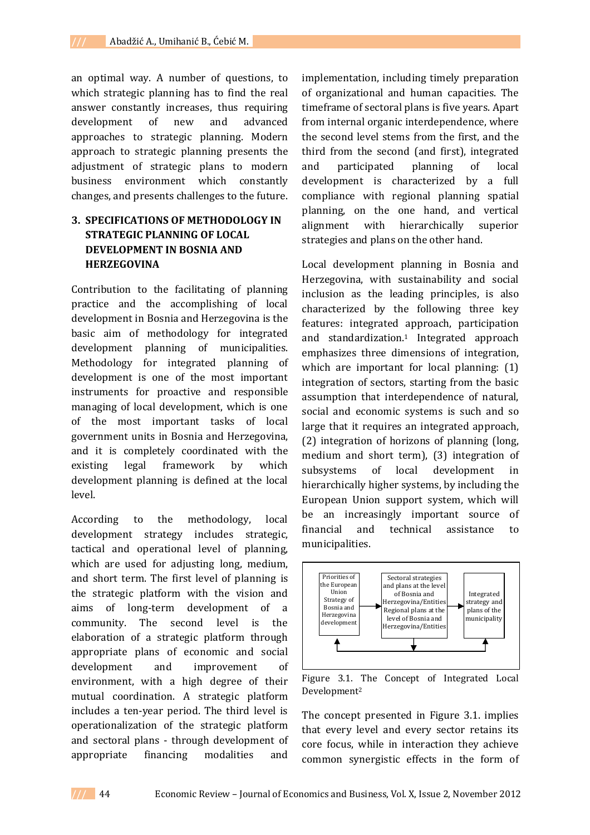an optimal way. A number of questions, to which strategic planning has to find the real answer constantly increases, thus requiring development of new and advanced approaches to strategic planning. Modern approach to strategic planning presents the adjustment of strategic plans to modern business environment which constantly changes, and presents challenges to the future.

# **3. SPECIFICATIONS OF METHODOLOGY IN STRATEGIC PLANNING OF LOCAL DEVELOPMENT IN BOSNIA AND HERZEGOVINA**

Contribution to the facilitating of planning practice and the accomplishing of local development in Bosnia and Herzegovina is the basic aim of methodology for integrated development planning of municipalities. Methodology for integrated planning of development is one of the most important instruments for proactive and responsible managing of local development, which is one of the most important tasks of local government units in Bosnia and Herzegovina, and it is completely coordinated with the existing legal framework by which development planning is defined at the local level.

According to the methodology, local development strategy includes strategic, tactical and operational level of planning, which are used for adjusting long, medium, and short term. The first level of planning is the strategic platform with the vision and aims of long-term development of a community. The second level is the elaboration of a strategic platform through appropriate plans of economic and social development and improvement of environment, with a high degree of their mutual coordination. A strategic platform includes a ten-year period. The third level is operationalization of the strategic platform and sectoral plans - through development of appropriate financing modalities and implementation, including timely preparation of organizational and human capacities. The timeframe of sectoral plans is five years. Apart from internal organic interdependence, where the second level stems from the first, and the third from the second (and first), integrated and participated planning of local development is characterized by a full compliance with regional planning spatial planning, on the one hand, and vertical alignment with hierarchically superior strategies and plans on the other hand.

Local development planning in Bosnia and Herzegovina, with sustainability and social inclusion as the leading principles, is also characterized by the following three key features: integrated approach, participation and standardization.<sup>1</sup> Integrated approach emphasizes three dimensions of integration, which are important for local planning: (1) integration of sectors, starting from the basic assumption that interdependence of natural, social and economic systems is such and so large that it requires an integrated approach, (2) integration of horizons of planning (long, medium and short term), (3) integration of subsystems of local development in hierarchically higher systems, by including the European Union support system, which will be an increasingly important source of financial and technical assistance to municipalities.



Figure 3.1. The Concept of Integrated Local Development<sup>2</sup>

The concept presented in Figure 3.1. implies that every level and every sector retains its core focus, while in interaction they achieve common synergistic effects in the form of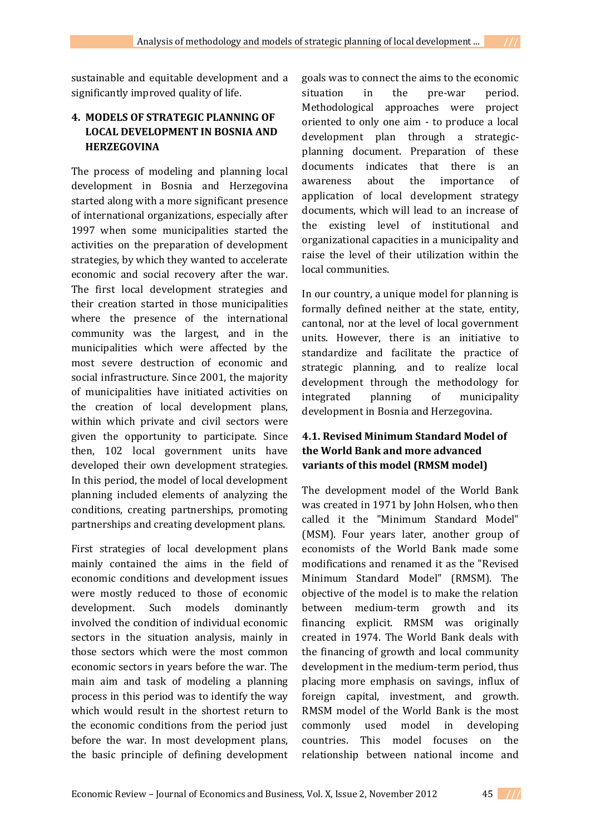sustainable and equitable development and a significantly improved quality of life.

# **4. MODELS OF STRATEGIC PLANNING OF LOCAL DEVELOPMENT IN BOSNIA AND HERZEGOVINA**

The process of modeling and planning local development in Bosnia and Herzegovina started along with a more significant presence of international organizations, especially after 1997 when some municipalities started the activities on the preparation of development strategies, by which they wanted to accelerate economic and social recovery after the war. The first local development strategies and their creation started in those municipalities where the presence of the international community was the largest, and in the municipalities which were affected by the most severe destruction of economic and social infrastructure. Since 2001, the majority of municipalities have initiated activities on the creation of local development plans, within which private and civil sectors were given the opportunity to participate. Since then, 102 local government units have developed their own development strategies. In this period, the model of local development planning included elements of analyzing the conditions, creating partnerships, promoting partnerships and creating development plans.

First strategies of local development plans mainly contained the aims in the field of economic conditions and development issues were mostly reduced to those of economic development. Such models dominantly involved the condition of individual economic sectors in the situation analysis, mainly in those sectors which were the most common economic sectors in years before the war. The main aim and task of modeling a planning process in this period was to identify the way which would result in the shortest return to the economic conditions from the period just before the war. In most development plans, the basic principle of defining development

goals was to connect the aims to the economic situation in the pre-war period. Methodological approaches were project oriented to only one aim - to produce a local development plan through a strategicplanning document. Preparation of these documents indicates that there is an awareness about the importance of application of local development strategy documents, which will lead to an increase of the existing level of institutional and organizational capacities in a municipality and raise the level of their utilization within the local communities.

In our country, a unique model for planning is formally defined neither at the state, entity, cantonal, nor at the level of local government units. However, there is an initiative to standardize and facilitate the practice of strategic planning, and to realize local development through the methodology for integrated planning of municipality development in Bosnia and Herzegovina.

# **4.1. Revised Minimum Standard Model of the World Bank and more advanced variants of this model (RMSM model)**

The development model of the World Bank was created in 1971 by John Holsen, who then called it the "Minimum Standard Model" (MSM). Four years later, another group of economists of the World Bank made some modifications and renamed it as the "Revised Minimum Standard Model" (RMSM). The objective of the model is to make the relation between medium-term growth and its financing explicit. RMSM was originally created in 1974. The World Bank deals with the financing of growth and local community development in the medium-term period, thus placing more emphasis on savings, influx of foreign capital, investment, and growth. RMSM model of the World Bank is the most commonly used model in developing countries. This model focuses on the relationship between national income and

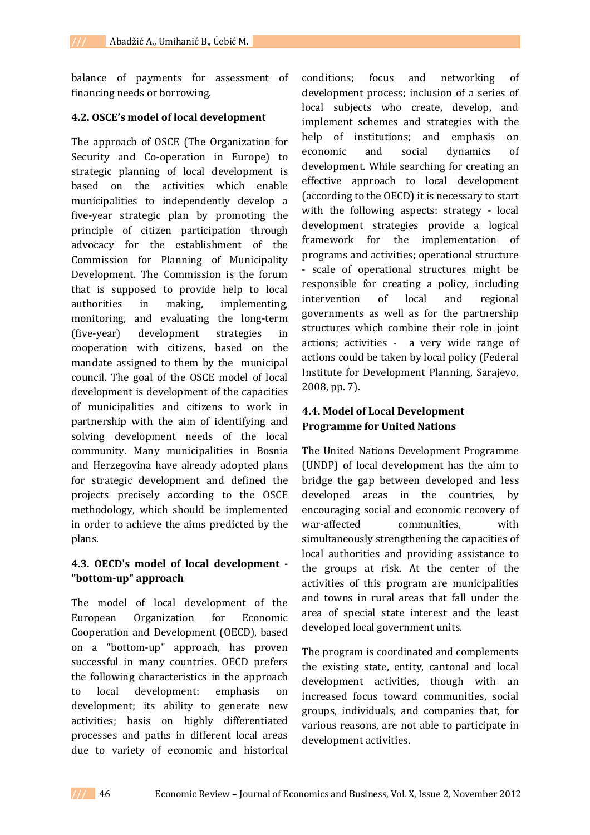balance of payments for assessment of financing needs or borrowing.

### **4.2. OSCE's model of local development**

The approach of OSCE (The Organization for Security and Co-operation in Europe) to strategic planning of local development is based on the activities which enable municipalities to independently develop a five-year strategic plan by promoting the principle of citizen participation through advocacy for the establishment of the Commission for Planning of Municipality Development. The Commission is the forum that is supposed to provide help to local authorities in making, implementing, monitoring, and evaluating the long-term (five-year) development strategies in cooperation with citizens, based on the mandate assigned to them by the municipal council. The goal of the OSCE model of local development is development of the capacities of municipalities and citizens to work in partnership with the aim of identifying and solving development needs of the local community. Many municipalities in Bosnia and Herzegovina have already adopted plans for strategic development and defined the projects precisely according to the OSCE methodology, which should be implemented in order to achieve the aims predicted by the plans.

## **4.3. OECD's model of local development - "bottom-up" approach**

The model of local development of the European Organization for Economic Cooperation and Development (OECD), based on a "bottom-up" approach, has proven successful in many countries. OECD prefers the following characteristics in the approach to local development: emphasis on development; its ability to generate new activities; basis on highly differentiated processes and paths in different local areas due to variety of economic and historical

conditions; focus and networking of development process; inclusion of a series of local subjects who create, develop, and implement schemes and strategies with the help of institutions; and emphasis on economic and social dynamics of development. While searching for creating an effective approach to local development (according to the OECD) it is necessary to start with the following aspects: strategy - local development strategies provide a logical framework for the implementation of programs and activities; operational structure - scale of operational structures might be responsible for creating a policy, including intervention of local and regional governments as well as for the partnership structures which combine their role in joint actions; activities - a very wide range of actions could be taken by local policy (Federal Institute for Development Planning, Sarajevo, 2008, pp. 7).

# **4.4. Model of Local Development Programme for United Nations**

The United Nations Development Programme (UNDP) of local development has the aim to bridge the gap between developed and less developed areas in the countries, by encouraging social and economic recovery of war-affected communities, with simultaneously strengthening the capacities of local authorities and providing assistance to the groups at risk. At the center of the activities of this program are municipalities and towns in rural areas that fall under the area of special state interest and the least developed local government units.

The program is coordinated and complements the existing state, entity, cantonal and local development activities, though with an increased focus toward communities, social groups, individuals, and companies that, for various reasons, are not able to participate in development activities.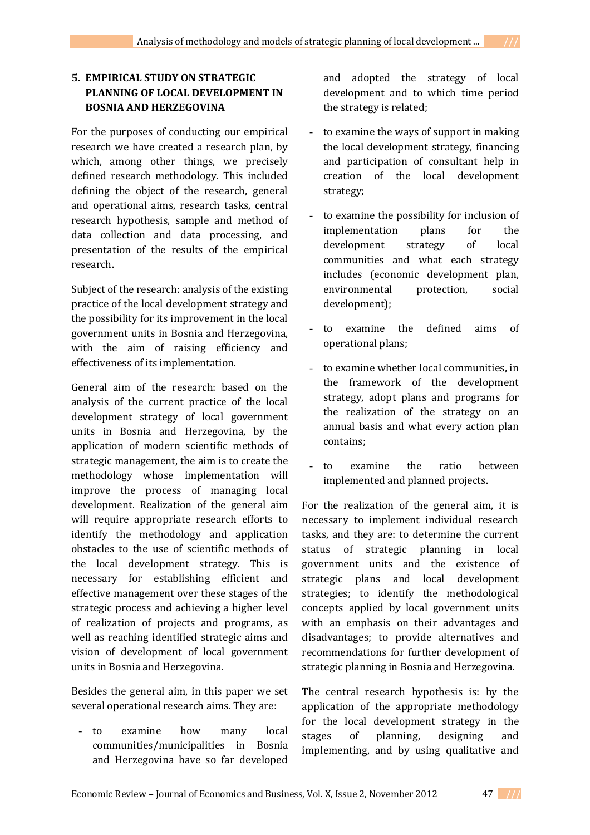# **5. EMPIRICAL STUDY ON STRATEGIC PLANNING OF LOCAL DEVELOPMENT IN BOSNIA AND HERZEGOVINA**

For the purposes of conducting our empirical research we have created a research plan, by which, among other things, we precisely defined research methodology. This included defining the object of the research, general and operational aims, research tasks, central research hypothesis, sample and method of data collection and data processing, and presentation of the results of the empirical research.

Subject of the research: analysis of the existing practice of the local development strategy and the possibility for its improvement in the local government units in Bosnia and Herzegovina, with the aim of raising efficiency and effectiveness of its implementation.

General aim of the research: based on the analysis of the current practice of the local development strategy of local government units in Bosnia and Herzegovina, by the application of modern scientific methods of strategic management, the aim is to create the methodology whose implementation will improve the process of managing local development. Realization of the general aim will require appropriate research efforts to identify the methodology and application obstacles to the use of scientific methods of the local development strategy. This is necessary for establishing efficient and effective management over these stages of the strategic process and achieving a higher level of realization of projects and programs, as well as reaching identified strategic aims and vision of development of local government units in Bosnia and Herzegovina.

Besides the general aim, in this paper we set several operational research aims. They are:

- to examine how many local communities/municipalities in Bosnia and Herzegovina have so far developed and adopted the strategy of local development and to which time period the strategy is related;

- to examine the ways of support in making the local development strategy, financing and participation of consultant help in creation of the local development strategy;
- to examine the possibility for inclusion of implementation plans for the development strategy of local communities and what each strategy includes (economic development plan, environmental protection, social development);
- to examine the defined aims of operational plans;
- to examine whether local communities, in the framework of the development strategy, adopt plans and programs for the realization of the strategy on an annual basis and what every action plan contains;
- to examine the ratio between implemented and planned projects.

For the realization of the general aim, it is necessary to implement individual research tasks, and they are: to determine the current status of strategic planning in local government units and the existence of strategic plans and local development strategies; to identify the methodological concepts applied by local government units with an emphasis on their advantages and disadvantages; to provide alternatives and recommendations for further development of strategic planning in Bosnia and Herzegovina.

The central research hypothesis is: by the application of the appropriate methodology for the local development strategy in the stages of planning, designing and implementing, and by using qualitative and

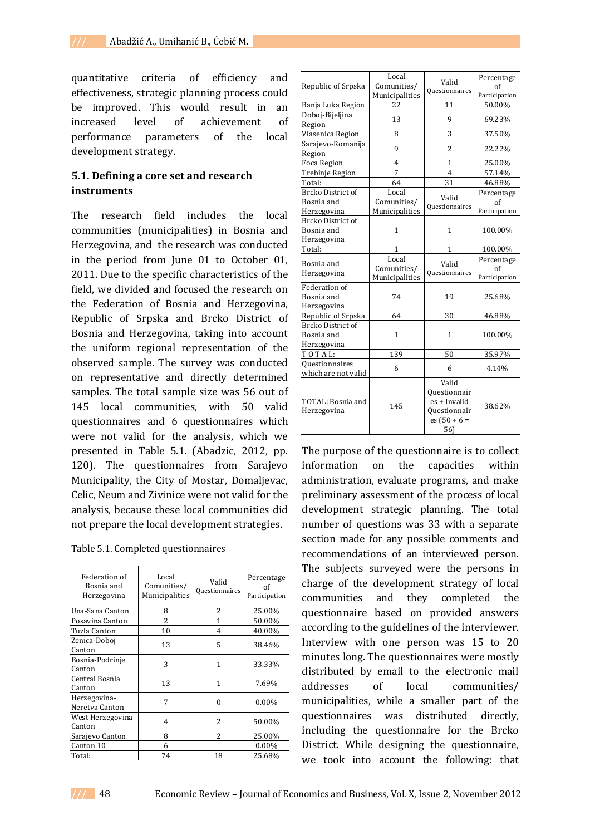quantitative criteria of efficiency and effectiveness, strategic planning process could be improved. This would result in an increased level of achievement of performance parameters of the local development strategy.

## **5.1. Defining a core set and research instruments**

The research field includes the local communities (municipalities) in Bosnia and Herzegovina, and the research was conducted in the period from June 01 to October 01, 2011. Due to the specific characteristics of the field, we divided and focused the research on the Federation of Bosnia and Herzegovina, Republic of Srpska and Brcko District of Bosnia and Herzegovina, taking into account the uniform regional representation of the observed sample. The survey was conducted on representative and directly determined samples. The total sample size was 56 out of 145 local communities, with 50 valid questionnaires and 6 questionnaires which were not valid for the analysis, which we presented in Table 5.1. (Abadzic, 2012, pp. 120). The questionnaires from Sarajevo Municipality, the City of Mostar, Domaljevac, Celic, Neum and Zivinice were not valid for the analysis, because these local communities did not prepare the local development strategies.

| Federation of<br>Bosnia and<br>Herzegovina | Local<br>Comunities/<br>Municipalities | Valid<br><b>Questionnaires</b> | Percentage<br>of<br>Participation |
|--------------------------------------------|----------------------------------------|--------------------------------|-----------------------------------|
| Una-Sana Canton                            | 8                                      | 2                              | 25.00%                            |
| Posavina Canton                            | 2                                      | 1                              | 50.00%                            |
| Tuzla Canton                               | 10                                     | 4                              | 40.00%                            |
| Zenica-Doboj<br>Canton                     | 13                                     | 5                              | 38.46%                            |
| Bosnia-Podrinje<br>Canton                  | 3                                      | 1                              | 33.33%                            |
| Central Bosnia<br>Canton                   | 13                                     | 1                              | 7.69%                             |
| Herzegovina-<br>Neretva Canton             | 7                                      | $\Omega$                       | $0.00\%$                          |
| West Herzegovina<br>Canton                 | 4                                      | $\overline{\mathcal{L}}$       | 50.00%                            |
| Sarajevo Canton                            | 8                                      | $\overline{\mathcal{L}}$       | 25.00%                            |
| Canton 10                                  | 6                                      |                                | $0.00\%$                          |
| Total:                                     | 74                                     | 18                             | 25.68%                            |

|                          | Local<br>Valid<br>Comunities/ |                       | Percentage          |  |
|--------------------------|-------------------------------|-----------------------|---------------------|--|
| Republic of Srpska       | Municipalities                | Questionnaires        | of<br>Participation |  |
| Banja Luka Region        | 22<br>11                      |                       | 50.00%              |  |
| Doboj-Bijeljina          |                               |                       |                     |  |
| Region                   | 13                            | 9                     | 69.23%              |  |
| Vlasenica Region         | 8                             | 3                     | 37.50%              |  |
| Sarajevo-Romanija        |                               |                       | 22.22%<br>25.00%    |  |
| Region                   | 9                             | 2                     |                     |  |
| Foca Region              | $\overline{4}$                | $\mathbf{1}$          |                     |  |
| Trebinje Region          | 7                             | $\overline{4}$        | 57.14%              |  |
| Total:                   | 64                            | 31                    | 46.88%              |  |
| <b>Brcko District of</b> | Local                         |                       | Percentage          |  |
| Bosnia and               | Comunities/                   | Valid                 | of                  |  |
| Herzegovina              | Municipalities                | Questionnaires        | Participation       |  |
| <b>Brcko District of</b> |                               |                       |                     |  |
| Bosnia and               | 1                             | 1                     | 100.00%             |  |
| Herzegovina              |                               |                       |                     |  |
| Total:                   | 1                             | 1                     | 100.00%             |  |
| Bosnia and               | Local                         | Valid                 | Percentage          |  |
| Herzegovina              | Comunities/                   | <b>Questionnaires</b> | of                  |  |
|                          | Municipalities                |                       | Participation       |  |
|                          |                               |                       |                     |  |
| Federation of            |                               |                       |                     |  |
| Bosnia and               | 74                            | 19                    | 25.68%              |  |
| Herzegovina              |                               |                       |                     |  |
| Republic of Srpska       | 64                            | 30                    | 46.88%              |  |
| <b>Brcko District of</b> |                               |                       |                     |  |
| Bosnia and               | $\mathbf{1}$                  | $\mathbf{1}$          | 100.00%             |  |
| Herzegovina              |                               |                       |                     |  |
| TOTAL:                   | 139                           | 50                    | 35.97%              |  |
| <b>Questionnaires</b>    | 6                             | 6                     |                     |  |
| which are not valid      |                               |                       | 4.14%               |  |
|                          |                               | Valid                 |                     |  |
|                          |                               | <b>Questionnair</b>   |                     |  |
| TOTAL: Bosnia and        | 145                           | es + Invalid          | 38.62%              |  |
| Herzegovina              |                               | <b>Questionnair</b>   |                     |  |
|                          |                               | $es(50 + 6 =$<br>56)  |                     |  |

The purpose of the questionnaire is to collect information on the capacities within administration, evaluate programs, and make preliminary assessment of the process of local development strategic planning. The total number of questions was 33 with a separate section made for any possible comments and recommendations of an interviewed person. The subjects surveyed were the persons in charge of the development strategy of local communities and they completed the questionnaire based on provided answers according to the guidelines of the interviewer. Interview with one person was 15 to 20 minutes long. The questionnaires were mostly distributed by email to the electronic mail addresses of local communities/ municipalities, while a smaller part of the questionnaires was distributed directly, including the questionnaire for the Brcko District. While designing the questionnaire, we took into account the following: that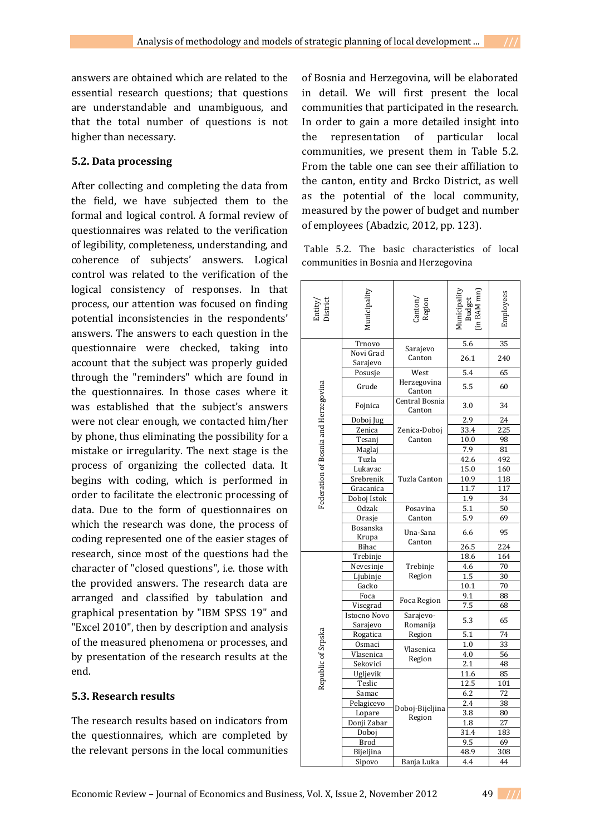answers are obtained which are related to the essential research questions; that questions are understandable and unambiguous, and that the total number of questions is not higher than necessary.

## **5.2. Data processing**

After collecting and completing the data from the field, we have subjected them to the formal and logical control. A formal review of questionnaires was related to the verification of legibility, completeness, understanding, and coherence of subjects' answers. Logical control was related to the verification of the logical consistency of responses. In that process, our attention was focused on finding potential inconsistencies in the respondents' answers. The answers to each question in the questionnaire were checked, taking into account that the subject was properly guided through the "reminders" which are found in the questionnaires. In those cases where it was established that the subject's answers were not clear enough, we contacted him/her by phone, thus eliminating the possibility for a mistake or irregularity. The next stage is the process of organizing the collected data. It begins with coding, which is performed in order to facilitate the electronic processing of data. Due to the form of questionnaires on which the research was done, the process of coding represented one of the easier stages of research, since most of the questions had the character of "closed questions", i.e. those with the provided answers. The research data are arranged and classified by tabulation and graphical presentation by "IBM SPSS 19" and "Excel 2010", then by description and analysis of the measured phenomena or processes, and by presentation of the research results at the end.

# **5.3. Research results**

The research results based on indicators from the questionnaires, which are completed by the relevant persons in the local communities

of Bosnia and Herzegovina, will be elaborated in detail. We will first present the local communities that participated in the research. In order to gain a more detailed insight into the representation of particular local communities, we present them in Table 5.2. From the table one can see their affiliation to the canton, entity and Brcko District, as well as the potential of the local community, measured by the power of budget and number of employees (Abadzic, 2012, pp. 123).

Table 5.2. The basic characteristics of local communities in Bosnia and Herzegovina

| Entity<br>) istrict                  | <b>Iunicipality</b>      | `anton <sub>)</sub><br>Region | in BAM mn<br>Budget | Employees       |
|--------------------------------------|--------------------------|-------------------------------|---------------------|-----------------|
|                                      | Trnovo                   |                               | 5.6                 | $\overline{35}$ |
|                                      | Novi Grad<br>Sarajevo    | Sarajevo<br>Canton            | 26.1                | 240             |
|                                      | Posusje                  | West                          | 5.4                 | 65              |
| Federation of Bosnia and Herzegovina | Grude                    | Herzegovina<br>Canton         | 5.5                 | 60              |
|                                      | Fojnica                  | Central Bosnia<br>Canton      | 3.0                 | 34              |
|                                      | Doboj Jug                |                               | $\overline{2.9}$    | 24              |
|                                      | Zenica                   | Zenica-Doboj                  | 33.4                | 225             |
|                                      | Tesanj                   | Canton                        | 10.0                | 98              |
|                                      | Maglaj                   |                               | 7.9                 | 81              |
|                                      | Tuzla                    |                               | 42.6                | 492             |
|                                      | Lukavac                  |                               | 15.0                | 160             |
|                                      | Srebrenik                | Tuzla Canton                  | 10.9                | 118             |
|                                      | Gracanica                |                               | 11.7                | 117             |
|                                      | Doboj Istok              |                               | 1.9                 | 34              |
|                                      | <b>Odzak</b>             | Posavina                      | 5.1                 | 50              |
|                                      | Orasje                   | Canton                        | 5.9                 | 69              |
|                                      | Bosanska<br>Krupa        | Una-Sana                      | 6.6                 | 95              |
|                                      | Bihac                    | Canton                        | 26.5                | 224             |
|                                      | Trebinje                 |                               | 18.6                | 164             |
|                                      | Nevesinje                | Trebinje                      | 4.6                 | 70              |
|                                      | Ljubinje                 | Region                        | 1.5                 | 30              |
|                                      | Gacko                    |                               | 10.1                | 70              |
|                                      | Foca                     |                               | 9.1                 | 88              |
|                                      | Visegrad                 | Foca Region                   | 7.5                 | 68              |
|                                      | Istocno Novo<br>Sarajevo | Sarajevo-<br>Romanija         | 5.3                 | 65              |
|                                      | Rogatica                 | Region                        | 5.1                 | 74              |
|                                      | Osmaci                   |                               | 1.0                 | 33              |
|                                      | Vlasenica                | Vlasenica                     | 4.0                 | 56              |
|                                      | Sekovici                 | Region                        | 2.1                 | 48              |
| Republic of Srpska                   | Ugljevik                 |                               | 11.6                | 85              |
|                                      | Teslic                   |                               | 12.5                | 101             |
|                                      | Samac                    |                               | 6.2                 | 72              |
|                                      | Pelagicevo               |                               | 2.4                 | $\overline{38}$ |
|                                      | Lopare                   | Doboj-Bijeljina<br>Region     | 3.8                 | 80              |
|                                      | Donji Zabar              |                               | 1.8                 | 27              |
|                                      | Doboj                    |                               | 31.4                | 183             |
|                                      | <b>Brod</b>              |                               | 9.5                 | 69              |
|                                      | Bijeljina                |                               | 48.9                | 308             |
|                                      | Sipovo                   | Banja Luka                    | 4.4                 | 44              |

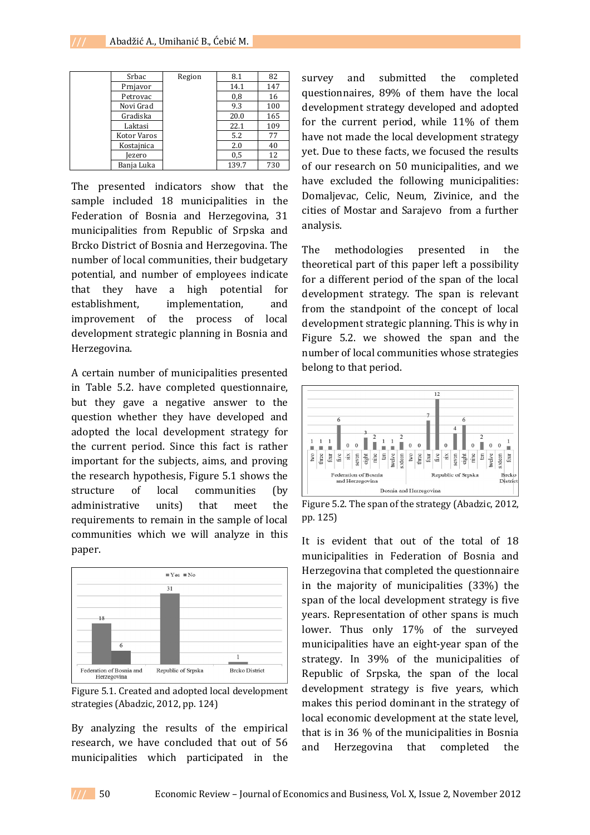| Srbac       | Region | 8.1   | 82  |
|-------------|--------|-------|-----|
| Prnjavor    |        | 14.1  | 147 |
| Petrovac    |        | 0,8   | 16  |
| Novi Grad   |        | 9.3   | 100 |
| Gradiska    |        | 20.0  | 165 |
| Laktasi     |        | 22.1  | 109 |
| Kotor Varos |        | 5.2   | 77  |
| Kostajnica  |        | 2.0   | 40  |
| ezero       |        | 0,5   | 12  |
| Banja Luka  |        | 139.7 | 730 |

The presented indicators show that the sample included 18 municipalities in the Federation of Bosnia and Herzegovina, 31 municipalities from Republic of Srpska and Brcko District of Bosnia and Herzegovina. The number of local communities, their budgetary potential, and number of employees indicate that they have a high potential for establishment, implementation, and improvement of the process of local development strategic planning in Bosnia and Herzegovina.

A certain number of municipalities presented in Table 5.2. have completed questionnaire, but they gave a negative answer to the question whether they have developed and adopted the local development strategy for the current period. Since this fact is rather important for the subjects, aims, and proving the research hypothesis, Figure 5.1 shows the structure of local communities (by administrative units) that meet the requirements to remain in the sample of local communities which we will analyze in this paper.



Figure 5.1. Created and adopted local development strategies (Abadzic, 2012, pp. 124)

By analyzing the results of the empirical research, we have concluded that out of 56 municipalities which participated in the

survey and submitted the completed questionnaires, 89% of them have the local development strategy developed and adopted for the current period, while 11% of them have not made the local development strategy yet. Due to these facts, we focused the results of our research on 50 municipalities, and we have excluded the following municipalities: Domaljevac, Celic, Neum, Zivinice, and the cities of Mostar and Sarajevo from a further analysis.

The methodologies presented in the theoretical part of this paper left a possibility for a different period of the span of the local development strategy. The span is relevant from the standpoint of the concept of local development strategic planning. This is why in Figure 5.2. we showed the span and the number of local communities whose strategies belong to that period.



Figure 5.2. The span of the strategy (Abadzic, 2012, pp. 125)

It is evident that out of the total of 18 municipalities in Federation of Bosnia and Herzegovina that completed the questionnaire in the majority of municipalities (33%) the span of the local development strategy is five years. Representation of other spans is much lower. Thus only 17% of the surveyed municipalities have an eight-year span of the strategy. In 39% of the municipalities of Republic of Srpska, the span of the local development strategy is five years, which makes this period dominant in the strategy of local economic development at the state level, that is in 36 % of the municipalities in Bosnia and Herzegovina that completed the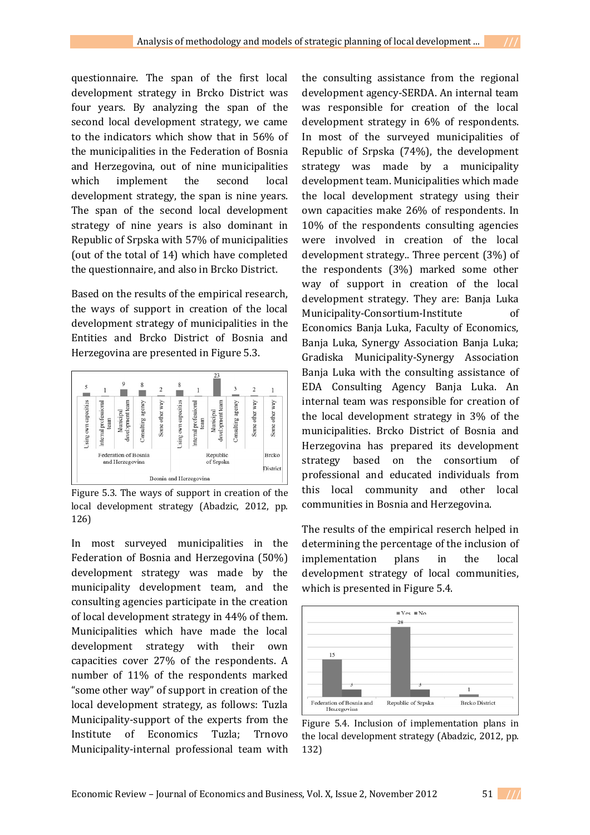questionnaire. The span of the first local development strategy in Brcko District was four years. By analyzing the span of the second local development strategy, we came to the indicators which show that in 56% of the municipalities in the Federation of Bosnia and Herzegovina, out of nine municipalities which implement the second local development strategy, the span is nine years. The span of the second local development strategy of nine years is also dominant in Republic of Srpska with 57% of municipalities (out of the total of 14) which have completed the questionnaire, and also in Brcko District.

Based on the results of the empirical research, the ways of support in creation of the local development strategy of municipalities in the Entities and Brcko District of Bosnia and Herzegovina are presented in Figure 5.3.



Figure 5.3. The ways of support in creation of the local development strategy (Abadzic, 2012, pp. 126)

In most surveyed municipalities in the Federation of Bosnia and Herzegovina (50%) development strategy was made by the municipality development team, and the consulting agencies participate in the creation of local development strategy in 44% of them. Municipalities which have made the local development strategy with their own capacities cover 27% of the respondents. A number of 11% of the respondents marked "some other way" of support in creation of the local development strategy, as follows: Tuzla Municipality-support of the experts from the Institute of Economics Tuzla; Trnovo Municipality-internal professional team with the consulting assistance from the regional development agency-SERDA. An internal team was responsible for creation of the local development strategy in 6% of respondents. In most of the surveyed municipalities of Republic of Srpska (74%), the development strategy was made by a municipality development team. Municipalities which made the local development strategy using their own capacities make 26% of respondents. In 10% of the respondents consulting agencies were involved in creation of the local development strategy.. Three percent (3%) of the respondents (3%) marked some other way of support in creation of the local development strategy. They are: Banja Luka Municipality-Consortium-Institute of Economics Banja Luka, Faculty of Economics, Banja Luka, Synergy Association Banja Luka; Gradiska Municipality-Synergy Association Banja Luka with the consulting assistance of EDA Consulting Agency Banja Luka. An internal team was responsible for creation of the local development strategy in 3% of the municipalities. Brcko District of Bosnia and Herzegovina has prepared its development strategy based on the consortium of professional and educated individuals from this local community and other local communities in Bosnia and Herzegovina.

The results of the empirical reserch helped in determining the percentage of the inclusion of implementation plans in the local development strategy of local communities, which is presented in Figure 5.4.



Figure 5.4. Inclusion of implementation plans in the local development strategy (Abadzic, 2012, pp. 132)

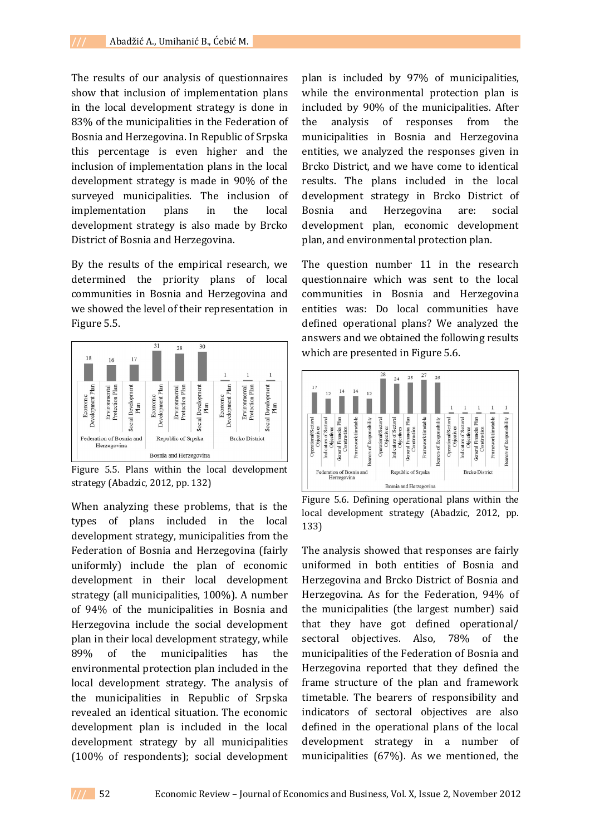The results of our analysis of questionnaires show that inclusion of implementation plans in the local development strategy is done in 83% of the municipalities in the Federation of Bosnia and Herzegovina. In Republic of Srpska this percentage is even higher and the inclusion of implementation plans in the local development strategy is made in 90% of the surveyed municipalities. The inclusion of implementation plans in the local development strategy is also made by Brcko District of Bosnia and Herzegovina.

By the results of the empirical research, we determined the priority plans of local communities in Bosnia and Herzegovina and we showed the level of their representation in Figure 5.5.



Figure 5.5. Plans within the local development strategy (Abadzic, 2012, pp. 132)

When analyzing these problems, that is the types of plans included in the local development strategy, municipalities from the Federation of Bosnia and Herzegovina (fairly uniformly) include the plan of economic development in their local development strategy (all municipalities, 100%). A number of 94% of the municipalities in Bosnia and Herzegovina include the social development plan in their local development strategy, while 89% of the municipalities has the environmental protection plan included in the local development strategy. The analysis of the municipalities in Republic of Srpska revealed an identical situation. The economic development plan is included in the local development strategy by all municipalities (100% of respondents); social development

plan is included by 97% of municipalities, while the environmental protection plan is included by 90% of the municipalities. After the analysis of responses from the municipalities in Bosnia and Herzegovina entities, we analyzed the responses given in Brcko District, and we have come to identical results. The plans included in the local development strategy in Brcko District of Bosnia and Herzegovina are: social development plan, economic development plan, and environmental protection plan.

The question number 11 in the research questionnaire which was sent to the local communities in Bosnia and Herzegovina entities was: Do local communities have defined operational plans? We analyzed the answers and we obtained the following results which are presented in Figure 5.6.



Figure 5.6. Defining operational plans within the local development strategy (Abadzic, 2012, pp. 133)

The analysis showed that responses are fairly uniformed in both entities of Bosnia and Herzegovina and Brcko District of Bosnia and Herzegovina. As for the Federation, 94% of the municipalities (the largest number) said that they have got defined operational/ sectoral objectives. Also, 78% of the municipalities of the Federation of Bosnia and Herzegovina reported that they defined the frame structure of the plan and framework timetable. The bearers of responsibility and indicators of sectoral objectives are also defined in the operational plans of the local development strategy in a number of municipalities (67%). As we mentioned, the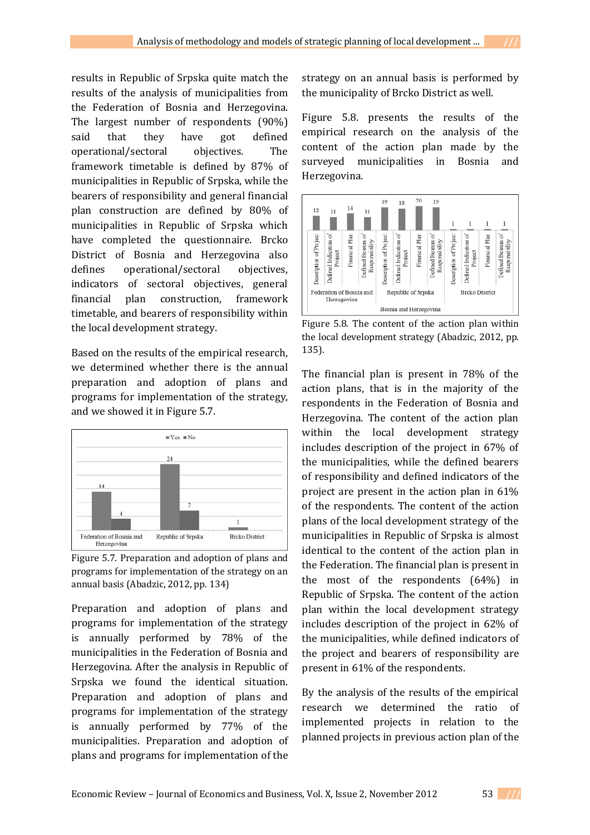results in Republic of Srpska quite match the results of the analysis of municipalities from the Federation of Bosnia and Herzegovina. The largest number of respondents (90%) said that they have got defined operational/sectoral objectives. The framework timetable is defined by 87% of municipalities in Republic of Srpska, while the bearers of responsibility and general financial plan construction are defined by 80% of municipalities in Republic of Srpska which have completed the questionnaire. Brcko District of Bosnia and Herzegovina also defines operational/sectoral objectives, indicators of sectoral objectives, general financial plan construction, framework timetable, and bearers of responsibility within the local development strategy.

Based on the results of the empirical research, we determined whether there is the annual preparation and adoption of plans and programs for implementation of the strategy, and we showed it in Figure 5.7.



Figure 5.7. Preparation and adoption of plans and programs for implementation of the strategy on an annual basis (Abadzic, 2012, pp. 134)

Preparation and adoption of plans and programs for implementation of the strategy is annually performed by 78% of the municipalities in the Federation of Bosnia and Herzegovina. After the analysis in Republic of Srpska we found the identical situation. Preparation and adoption of plans and programs for implementation of the strategy is annually performed by 77% of the municipalities. Preparation and adoption of plans and programs for implementation of the

strategy on an annual basis is performed by the municipality of Brcko District as well.

Figure 5.8. presents the results of the empirical research on the analysis of the content of the action plan made by the surveyed municipalities in Bosnia and Herzegovina.



Figure 5.8. The content of the action plan within the local development strategy (Abadzic, 2012, pp. 135).

The financial plan is present in 78% of the action plans, that is in the majority of the respondents in the Federation of Bosnia and Herzegovina. The content of the action plan within the local development strategy includes description of the project in 67% of the municipalities, while the defined bearers of responsibility and defined indicators of the project are present in the action plan in 61% of the respondents. The content of the action plans of the local development strategy of the municipalities in Republic of Srpska is almost identical to the content of the action plan in the Federation. The financial plan is present in the most of the respondents (64%) in Republic of Srpska. The content of the action plan within the local development strategy includes description of the project in 62% of the municipalities, while defined indicators of the project and bearers of responsibility are present in 61% of the respondents.

By the analysis of the results of the empirical research we determined the ratio of implemented projects in relation to the planned projects in previous action plan of the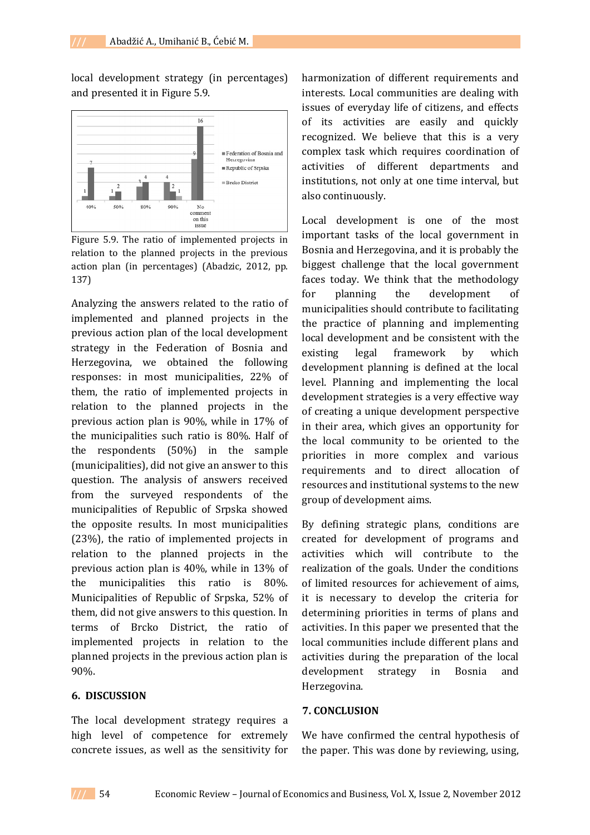local development strategy (in percentages) and presented it in Figure 5.9.



Figure 5.9. The ratio of implemented projects in relation to the planned projects in the previous action plan (in percentages) (Abadzic, 2012, pp. 137)

Analyzing the answers related to the ratio of implemented and planned projects in the previous action plan of the local development strategy in the Federation of Bosnia and Herzegovina, we obtained the following responses: in most municipalities, 22% of them, the ratio of implemented projects in relation to the planned projects in the previous action plan is 90%, while in 17% of the municipalities such ratio is 80%. Half of the respondents (50%) in the sample (municipalities), did not give an answer to this question. The analysis of answers received from the surveyed respondents of the municipalities of Republic of Srpska showed the opposite results. In most municipalities (23%), the ratio of implemented projects in relation to the planned projects in the previous action plan is 40%, while in 13% of the municipalities this ratio is 80%. Municipalities of Republic of Srpska, 52% of them, did not give answers to this question. In terms of Brcko District, the ratio of implemented projects in relation to the planned projects in the previous action plan is 90%.

#### **6. DISCUSSION**

The local development strategy requires a high level of competence for extremely concrete issues, as well as the sensitivity for

harmonization of different requirements and interests. Local communities are dealing with issues of everyday life of citizens, and effects of its activities are easily and quickly recognized. We believe that this is a very complex task which requires coordination of activities of different departments and institutions, not only at one time interval, but also continuously.

Local development is one of the most important tasks of the local government in Bosnia and Herzegovina, and it is probably the biggest challenge that the local government faces today. We think that the methodology for planning the development of municipalities should contribute to facilitating the practice of planning and implementing local development and be consistent with the existing legal framework by which development planning is defined at the local level. Planning and implementing the local development strategies is a very effective way of creating a unique development perspective in their area, which gives an opportunity for the local community to be oriented to the priorities in more complex and various requirements and to direct allocation of resources and institutional systems to the new group of development aims.

By defining strategic plans, conditions are created for development of programs and activities which will contribute to the realization of the goals. Under the conditions of limited resources for achievement of aims, it is necessary to develop the criteria for determining priorities in terms of plans and activities. In this paper we presented that the local communities include different plans and activities during the preparation of the local development strategy in Bosnia and Herzegovina.

#### **7. CONCLUSION**

We have confirmed the central hypothesis of the paper. This was done by reviewing, using,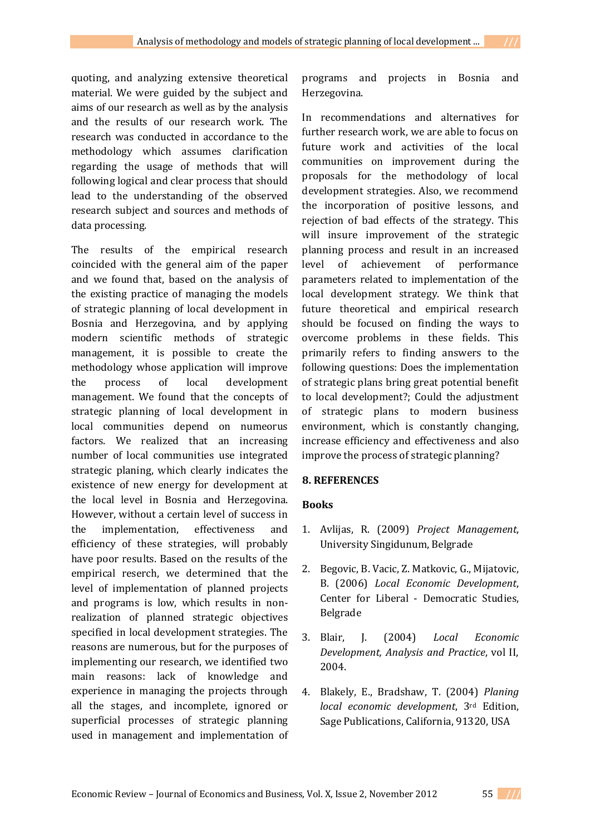quoting, and analyzing extensive theoretical material. We were guided by the subject and aims of our research as well as by the analysis and the results of our research work. The research was conducted in accordance to the methodology which assumes clarification regarding the usage of methods that will following logical and clear process that should lead to the understanding of the observed research subject and sources and methods of data processing.

The results of the empirical research coincided with the general aim of the paper and we found that, based on the analysis of the existing practice of managing the models of strategic planning of local development in Bosnia and Herzegovina, and by applying modern scientific methods of strategic management, it is possible to create the methodology whose application will improve the process of local development management. We found that the concepts of strategic planning of local development in local communities depend on numeorus factors. We realized that an increasing number of local communities use integrated strategic planing, which clearly indicates the existence of new energy for development at the local level in Bosnia and Herzegovina. However, without a certain level of success in the implementation, effectiveness and efficiency of these strategies, will probably have poor results. Based on the results of the empirical reserch, we determined that the level of implementation of planned projects and programs is low, which results in nonrealization of planned strategic objectives specified in local development strategies. The reasons are numerous, but for the purposes of implementing our research, we identified two main reasons: lack of knowledge and experience in managing the projects through all the stages, and incomplete, ignored or superficial processes of strategic planning used in management and implementation of

programs and projects in Bosnia and Herzegovina.

In recommendations and alternatives for further research work, we are able to focus on future work and activities of the local communities on improvement during the proposals for the methodology of local development strategies. Also, we recommend the incorporation of positive lessons, and rejection of bad effects of the strategy. This will insure improvement of the strategic planning process and result in an increased level of achievement of performance parameters related to implementation of the local development strategy. We think that future theoretical and empirical research should be focused on finding the ways to overcome problems in these fields. This primarily refers to finding answers to the following questions: Does the implementation of strategic plans bring great potential benefit to local development?; Could the adjustment of strategic plans to modern business environment, which is constantly changing, increase efficiency and effectiveness and also improve the process of strategic planning?

### **8. REFERENCES**

#### **Books**

- 1. Avlijas, R. (2009) *Project Management*, University Singidunum, Belgrade
- 2. Begovic, B. Vacic, Z. Matkovic, G., Mijatovic, B. (2006) *Local Economic Development*, Center for Liberal - Democratic Studies, Belgrade
- 3. Blair, J. (2004) *Local Economic Development, Analysis and Practice*, vol II, 2004.
- 4. Blakely, E., Bradshaw, T. (2004) *Planing local economic development*, 3rd Edition, Sage Publications, California, 91320, USA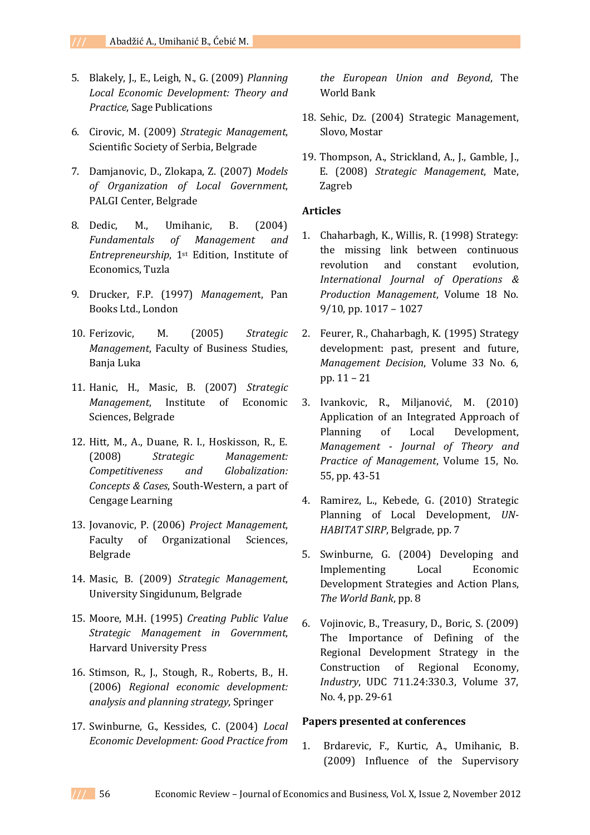- 5. Blakely, J., E., Leigh, N., G. (2009) *Planning Local Economic Development: Theory and Practice*, Sage Publications
- 6. Cirovic, M. (2009) *Strategic Management*, Scientific Society of Serbia, Belgrade
- 7. Damjanovic, D., Zlokapa, Z. (2007) *Models of Organization of Local Government*, PALGI Center, Belgrade
- 8. Dedic, M., Umihanic, B. (2004) *Fundamentals of Management and Entrepreneurship*, 1st Edition, Institute of Economics, Tuzla
- 9. Drucker, F.P. (1997) *Managemen*t, Pan Books Ltd., London
- 10. Ferizovic, M. (2005) *Strategic Management*, Faculty of Business Studies, Banja Luka
- 11. Hanic, H., Masic, B. (2007) *Strategic Management*, Institute of Economic Sciences, Belgrade
- 12. Hitt, M., A., Duane, R. I., Hoskisson, R., E. (2008) *Strategic Management: Competitiveness and Globalization: Concepts & Cases*, South-Western, a part of Cengage Learning
- 13. Jovanovic, P. (2006) *Project Management*, Faculty of Organizational Sciences, Belgrade
- 14. Masic, B. (2009) *Strategic Management*, University Singidunum, Belgrade
- 15. Moore, M.H. (1995) *Creating Public Value Strategic Management in Government*, Harvard University Press
- 16. Stimson, R., J., Stough, R., Roberts, B., H. (2006) *Regional economic development: analysis and planning strategy*, Springer
- 17. Swinburne, G., Kessides, C. (2004) *Local Economic Development: Good Practice from*

*the European Union and Beyond*, The World Bank

- 18. Sehic, Dz. (2004) Strategic Management, Slovo, Mostar
- 19. Thompson, A., Strickland, A., J., Gamble, J., E. (2008) *Strategic Management*, Mate, Zagreb

### **Articles**

- 1. Chaharbagh, K., Willis, R. (1998) Strategy: the missing link between continuous revolution and constant evolution, *International Journal of Operations & Production Management*, Volume 18 No. 9/10, pp. 1017 – 1027
- 2. Feurer, R., Chaharbagh, K. (1995) Strategy development: past, present and future, *Management Decision*, Volume 33 No. 6, pp. 11 – 21
- 3. Ivankovic, R., Miljanović, M. (2010) Application of an Integrated Approach of Planning of Local Development, *Management - Journal of Theory and Practice of Management*, Volume 15, No. 55, pp. 43-51
- 4. Ramirez, L., Kebede, G. (2010) Strategic Planning of Local Development, *UN-HABITAT SIRP*, Belgrade, pp. 7
- 5. Swinburne, G. (2004) Developing and Implementing Local Economic Development Strategies and Action Plans, *The World Bank*, pp. 8
- 6. Vojinovic, B., Treasury, D., Boric, S. (2009) The Importance of Defining of the Regional Development Strategy in the Construction of Regional Economy, *Industry*, UDC 711.24:330.3, Volume 37, No. 4, pp. 29-61

### **Papers presented at conferences**

1. Brdarevic, F., Kurtic, A., Umihanic, B. (2009) Influence of the Supervisory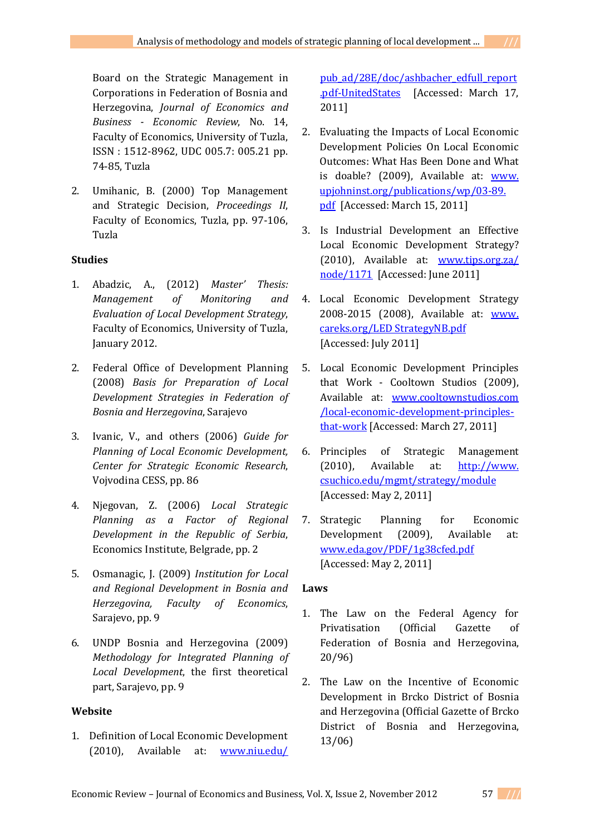Board on the Strategic Management in Corporations in Federation of Bosnia and Herzegovina, *Journal of Economics and Business - Economic Review*, No. 14, Faculty of Economics, University of Tuzla, ISSN : 1512-8962, UDC 005.7: 005.21 pp. 74-85, Tuzla

2. Umihanic, B. (2000) Top Management and Strategic Decision, *Proceedings II*, Faculty of Economics, Tuzla, pp. 97-106, Tuzla

## **Studies**

- 1. Abadzic, A., (2012) *Master' Thesis: Management of Monitoring and Evaluation of Local Development Strategy*, Faculty of Economics, University of Tuzla, January 2012.
- 2. Federal Office of Development Planning (2008) *Basis for Preparation of Local Development Strategies in Federation of Bosnia and Herzegovina*, Sarajevo
- 3. Ivanic, V., and others (2006) *Guide for Planning of Local Economic Development, Center for Strategic Economic Research*, Vojvodina CESS, pp. 86
- 4. Njegovan, Z. (2006) *Local Strategic Planning as a Factor of Regional Development in the Republic of Serbia*, Economics Institute, Belgrade, pp. 2
- 5. Osmanagic, J. (2009) *Institution for Local and Regional Development in Bosnia and Herzegovina, Faculty of Economics*, Sarajevo, pp. 9
- 6. UNDP Bosnia and Herzegovina (2009) *Methodology for Integrated Planning of Local Development*, the first theoretical part, Sarajevo, pp. 9

## **Website**

1. Definition of Local Economic Development (2010), Available at: www.niu.edu/

pub\_ad/28E/doc/ashbacher\_edfull\_report .pdf-UnitedStates [Accessed: March 17, 2011]

- 2. Evaluating the Impacts of Local Economic Development Policies On Local Economic Outcomes: What Has Been Done and What is doable? (2009), Available at: www. upjohninst.org/publications/wp/03-89. pdf [Accessed: March 15, 2011]
- 3. Is Industrial Development an Effective Local Economic Development Strategy? (2010), Available at: www.tips.org.za/ node/1171 [Accessed: June 2011]
- 4. Local Economic Development Strategy 2008-2015 (2008), Available at: www. careks.org/LED StrategyNB.pdf [Accessed: July 2011]
- 5. Local Economic Development Principles that Work - Cooltown Studios (2009), Available at: www.cooltownstudios.com /local-economic-development-principlesthat-work [Accessed: March 27, 2011]
- 6. Principles of Strategic Management (2010), Available at: http://www. csuchico.edu/mgmt/strategy/module [Accessed: May 2, 2011]
- 7. Strategic Planning for Economic Development (2009), Available at: www.eda.gov/PDF/1g38cfed.pdf [Accessed: May 2, 2011]

## **Laws**

- 1. The Law on the Federal Agency for Privatisation (Official Gazette of Federation of Bosnia and Herzegovina, 20/96)
- 2. The Law on the Incentive of Economic Development in Brcko District of Bosnia and Herzegovina (Official Gazette of Brcko District of Bosnia and Herzegovina, 13/06)